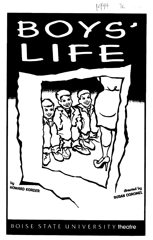

BOISE STATE UNIVERSITY theatre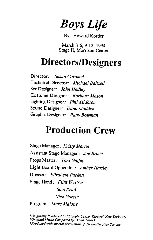*Boys Life* 

By: Howard Korder

March 3-6, 9-12, 1994 Stage II, Morrison Center

## **Directors/Designers**

Director: *Susan Coromel*  Technical Director: *Michael Baltzell*  Set Designer: *John Hadley*  Costume Designer: *Barbara Mason*  Lighting Designer: *Phil At/akson*  Sound Designer: *Dano Madden*  Graphic Designer: *Patty Bowman* 

# **Production Crew**

Stage Manager: *Kristy Martin*  Assistant Stage Manager: *Joe Bruce*  Props Master: *Toni Guffey*  Light Board Opperator: *Amber Hartley*  Dresser: *Elizabeth Puckett*  Stage Hand: *Flint Weisser Sam Read Nick Garcia*  Program: *Marc Malone* 

*\*Originally Produced by "Lincoln Center Theatre" New York City \*Original Music Composed by David Yazbek \*Produced with special permission of Dramatist Play Service*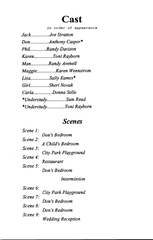## **Cast**

*In order of appearance* 

| JackJoe Stratton        |
|-------------------------|
| DonAnthony Casper*      |
| PhilRandy Davison       |
| KarenToni Rayborn       |
| ManRandy Avenell        |
| MaggieKaren Wennstrom   |
| LisaSally Eames*        |
| GirlSheri Novak         |
| CarlaDonna Selle        |
| *UnderstudySam Read     |
| *UnderstudyToni Rayborn |

## *Scenes*

| Scene 1:            |                      |
|---------------------|----------------------|
| $\textit{Scene}$ 2: | Don's Bedroom        |
|                     | A Child's Bedroom    |
| Scene $3$ :         |                      |
| Scene 4:            | City Park Playground |
|                     | <b>Restaurant</b>    |
| Scene 5:            |                      |
|                     | Don's Bedroom        |

*Intermission* 

| Scene 6: | City Park Playground     |
|----------|--------------------------|
| Scene 7: |                          |
|          | Don's Bedroom            |
| Scene 8: | Don's Bedroom            |
| Scene 9: |                          |
|          | <b>Wedding Reception</b> |